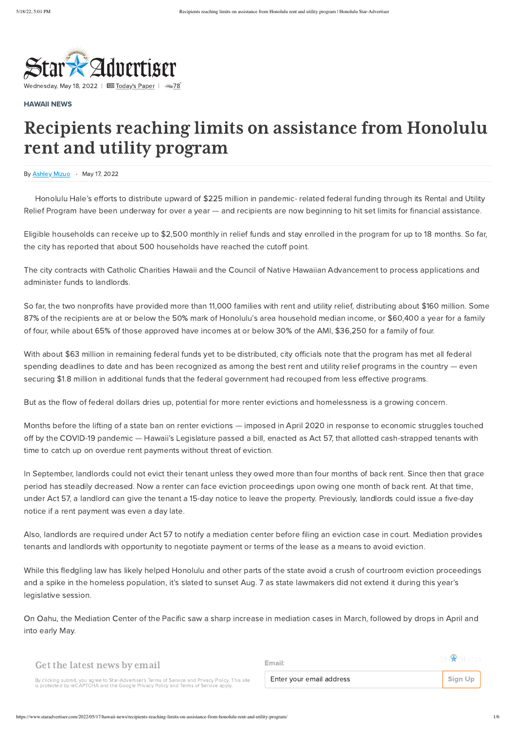

By [Ashley](https://www.staradvertiser.com/author/ashleymizuo/) Mizuo • May 17, 2022

[HAWAII](https://www.staradvertiser.com/category/hawaii-news/) NEWS

# Recipients reaching limits on assistance from Honolulu rent and utility program

Honolulu Hale's efforts to distribute upward of \$225 million in pandemic- related federal funding through its Rental and Utility Relief Program have been underway for over a year — and recipients are now beginning to hit set limits for financial assistance.

Eligible households can receive up to \$2,500 monthly in relief funds and stay enrolled in the program for up to 18 months. So far, the city has reported that about 500 households have reached the cutoff point.

The city contracts with Catholic Charities Hawaii and the Council of Native Hawaiian Advancement to process applications and administer funds to landlords.

So far, the two nonprofits have provided more than 11,000 families with rent and utility relief, distributing about \$160 million. Some 87% of the recipients are at or below the 50% mark of Honolulu's area household median income, or \$60,400 a year for a family of four, while about 65% of those approved have incomes at or below 30% of the AMI, \$36,250 for a family of four.

With about \$63 million in remaining federal funds yet to be distributed, city officials note that the program has met all federal spending deadlines to date and has been recognized as among the best rent and utility relief programs in the country — even securing \$1.8 million in additional funds that the federal government had recouped from less effective programs.

But as the flow of federal dollars dries up, potential for more renter evictions and homelessness is a growing concern.

Months before the lifting of a state ban on renter evictions — imposed in April 2020 in response to economic struggles touched off by the COVID-19 pandemic — Hawaii's Legislature passed a bill, enacted as Act 57, that allotted cash-strapped tenants with time to catch up on overdue rent payments without threat of eviction.

In September, landlords could not evict their tenant unless they owed more than four months of back rent. Since then that grace period has steadily decreased. Now a renter can face eviction proceedings upon owing one month of back rent. At that time, under Act 57, a landlord can give the tenant a 15-day notice to leave the property. Previously, landlords could issue a five-day notice if a rent payment was even a day late.

Also, landlords are required under Act 57 to notify a mediation center before filing an eviction case in court. Mediation provides tenants and landlords with opportunity to negotiate payment or terms of the lease as a means to avoid eviction.

While this fledgling law has likely helped Honolulu and other parts of the state avoid a crush of courtroom eviction proceedings and a spike in the homeless population, it's slated to sunset Aug. 7 as state lawmakers did not extend it during this year's legislative session.

On Oahu, the Mediation Center of the Pacific saw a sharp increase in mediation cases in March, followed by drops in April and into early May.

## Get the latest news by email

By clicking submit, you agree to Star-Advertiser's Terms of [Service](https://www.staradvertiser.com/about/terms-of-service/) and [Privacy](https://www.staradvertiser.com/about/privacy-policy/) Policy. This site is protected by reCAPTCHA and the Google [Privacy](https://policies.google.com/privacy) Policy and Terms of [Service](https://policies.google.com/terms) apply.

#### Email:

Enter your email address states of the Sign Up

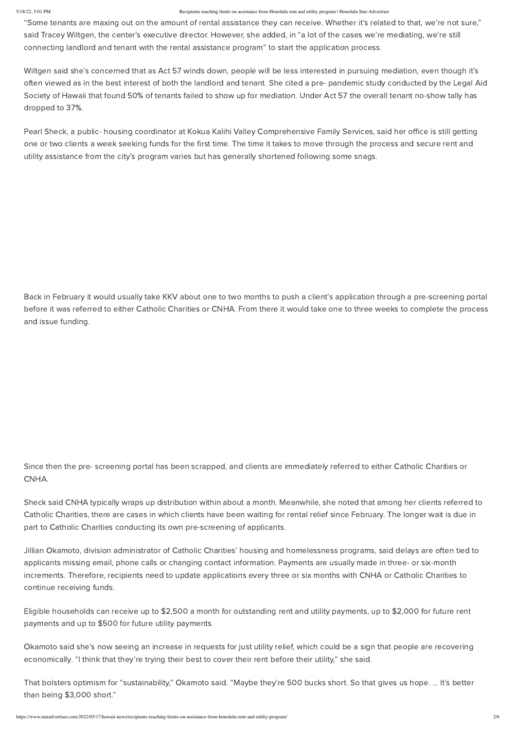#### 5/18/22, 5:01 PM Recipients reaching limits on assistance from Honolulu rent and utility program | Honolulu Star-Advertiser

"Some tenants are maxing out on the amount of rental assistance they can receive. Whether it's related to that, we're not sure," said Tracey Wiltgen, the center's executive director. However, she added, in "a lot of the cases we're mediating, we're still connecting landlord and tenant with the rental assistance program" to start the application process.

Wiltgen said she's concerned that as Act 57 winds down, people will be less interested in pursuing mediation, even though it's often viewed as in the best interest of both the landlord and tenant. She cited a pre- pandemic study conducted by the Legal Aid Society of Hawaii that found 50% of tenants failed to show up for mediation. Under Act 57 the overall tenant no-show tally has dropped to 37%.

Pearl Sheck, a public- housing coordinator at Kokua Kalihi Valley Comprehensive Family Services, said her office is still getting one or two clients a week seeking funds for the first time. The time it takes to move through the process and secure rent and utility assistance from the city's program varies but has generally shortened following some snags.

Back in February it would usually take KKV about one to two months to push a client's application through a pre-screening portal before it was referred to either Catholic Charities or CNHA. From there it would take one to three weeks to complete the process and issue funding.

Since then the pre- screening portal has been scrapped, and clients are immediately referred to either Catholic Charities or CNHA.

Sheck said CNHA typically wraps up distribution within about a month. Meanwhile, she noted that among her clients referred to Catholic Charities, there are cases in which clients have been waiting for rental relief since February. The longer wait is due in part to Catholic Charities conducting its own pre-screening of applicants.

Jillian Okamoto, division administrator of Catholic Charities' housing and homelessness programs, said delays are often tied to applicants missing email, phone calls or changing contact information. Payments are usually made in three- or six-month increments. Therefore, recipients need to update applications every three or six months with CNHA or Catholic Charities to continue receiving funds.

Eligible households can receive up to \$2,500 a month for outstanding rent and utility payments, up to \$2,000 for future rent payments and up to \$500 for future utility payments.

Okamoto said she's now seeing an increase in requests for just utility relief, which could be a sign that people are recovering economically. "I think that they're trying their best to cover their rent before their utility," she said.

That bolsters optimism for "sustainability," Okamoto said. "Maybe they're 500 bucks short. So that gives us hope. … It's better than being \$3,000 short."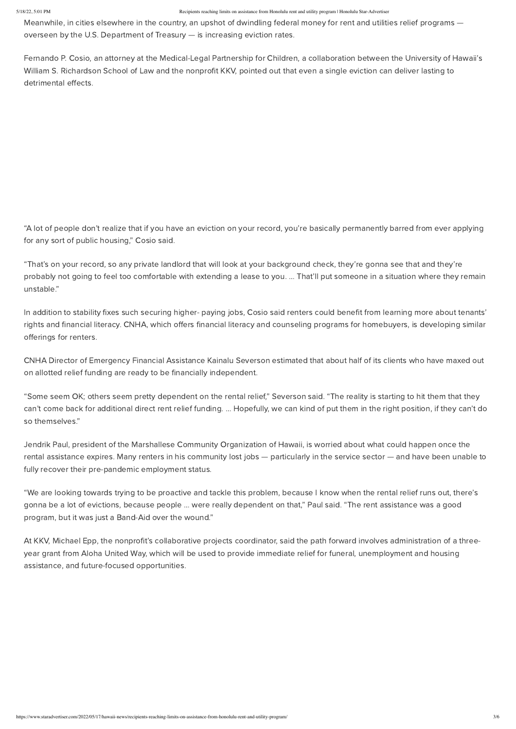#### 5/18/22, 5:01 PM Recipients reaching limits on assistance from Honolulu rent and utility program | Honolulu Star-Advertiser

Meanwhile, in cities elsewhere in the country, an upshot of dwindling federal money for rent and utilities relief programs overseen by the U.S. Department of Treasury — is increasing eviction rates.

Fernando P. Cosio, an attorney at the Medical-Legal Partnership for Children, a collaboration between the University of Hawaii's William S. Richardson School of Law and the nonprofit KKV, pointed out that even a single eviction can deliver lasting to detrimental effects.

"A lot of people don't realize that if you have an eviction on your record, you're basically permanently barred from ever applying for any sort of public housing," Cosio said.

"That's on your record, so any private landlord that will look at your background check, they're gonna see that and they're probably not going to feel too comfortable with extending a lease to you. … That'll put someone in a situation where they remain unstable."

In addition to stability fixes such securing higher- paying jobs, Cosio said renters could benefit from learning more about tenants' rights and financial literacy. CNHA, which offers financial literacy and counseling programs for homebuyers, is developing similar offerings for renters.

CNHA Director of Emergency Financial Assistance Kainalu Severson estimated that about half of its clients who have maxed out on allotted relief funding are ready to be financially independent.

"Some seem OK; others seem pretty dependent on the rental relief," Severson said. "The reality is starting to hit them that they can't come back for additional direct rent relief funding. … Hopefully, we can kind of put them in the right position, if they can't do so themselves."

Jendrik Paul, president of the Marshallese Community Organization of Hawaii, is worried about what could happen once the rental assistance expires. Many renters in his community lost jobs — particularly in the service sector — and have been unable to fully recover their pre-pandemic employment status.

"We are looking towards trying to be proactive and tackle this problem, because I know when the rental relief runs out, there's gonna be a lot of evictions, because people … were really dependent on that," Paul said. "The rent assistance was a good program, but it was just a Band-Aid over the wound."

At KKV, Michael Epp, the nonprofit's collaborative projects coordinator, said the path forward involves administration of a threeyear grant from Aloha United Way, which will be used to provide immediate relief for funeral, unemployment and housing assistance, and future-focused opportunities.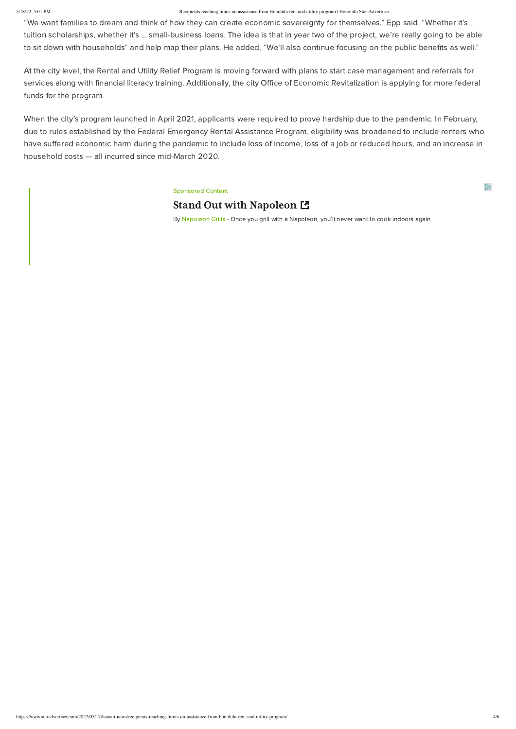#### 5/18/22, 5:01 PM Recipients reaching limits on assistance from Honolulu rent and utility program | Honolulu Star-Advertiser

https://www.staradvertiser.com/2022/05/17/hawaii-news/recipients-reaching-limits-on-assistance-from-honolulu-rent-and-utility-program/ 4/6

"We want families to dream and think of how they can create economic sovereignty for themselves," Epp said. "Whether it's tuition scholarships, whether it's … small-business loans. The idea is that in year two of the project, we're really going to be able to sit down with households" and help map their plans. He added, "We'll also continue focusing on the public benefits as well."

At the city level, the Rental and Utility Relief Program is moving forward with plans to start case management and referrals for services along with financial literacy training. Additionally, the city Office of Economic Revitalization is applying for more federal funds for the program.

When the city's program launched in April 2021, applicants were required to prove hardship due to the pandemic. In February, due to rules established by the Federal Emergency Rental Assistance Program, eligibility was broadened to include renters who have suffered economic harm during the pandemic to include loss of income, loss of a job or reduced hours, and an increase in household costs — all incurred since mid-March 2020.

Sponsored Content

## $\triangleright$

## Stand Out with [Napoleon](https://jadserve.postrelease.com/trk?ntv_at=3&ntv_ui=7888492d-0aac-467a-97bc-60a5f2dbe6fd&ntv_a=CogHALMRUA-lcQA&ntv_fl=W6Y2CVR50ABR51L5Wc0JfmUZ2uPuKBXbH3EC_Jm_xYE711EjaQzUj2hhnbIJ84ndS3oU0ARDQaVpdA7ra_3vTvi3YjI6h1mCTIQ7SxzNDOd-POK8k8-JhFUTaknVMvR4ZY9oB-nsBPmpKp09DyHTiPFc_fe9xmUG44g2Hz4CSGlHXb9e3VhF_kwzSlAquEBo8Hm8RbZIQ6db6i-bIS6y-pifVvRz-Rk1hSI7x0geaZMonzARR5XBt4aDY9Mg--4XBiBqjC0USJO_YIRuFYECv7kP35yMFICpk8VBfn4ElmEy41__SRY3mqaz1HFyxAUNuFBuPEKqN1ozfSjE27e5Vx89G8ZpeUfuaQKS3sjC1lTUjJ2t6GpdSq7DPOfJr9pPvkOynb6DWdHoIM0c1nUgVMMN0lJc4tDcnI3UWPLY_wJrm2ur_f0tvXWIqiRv36uGm6THdTdTRWA7Q8QKDSZfuA==&ord=362504036&ntv_ht=gLKFYgA&ntv_tad=16) [2]

By Napoleon Grills - Once you grill with a Napoleon, you'll never want to cook indoors again.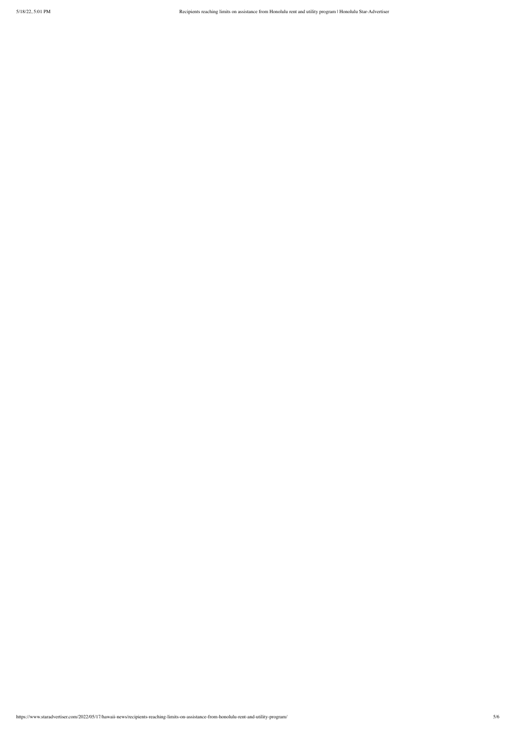https://www.staradvertiser.com/2022/05/17/hawaii-news/recipients-reaching-limits-on-assistance-from-honolulu-rent-and-utility-program/ 5/6